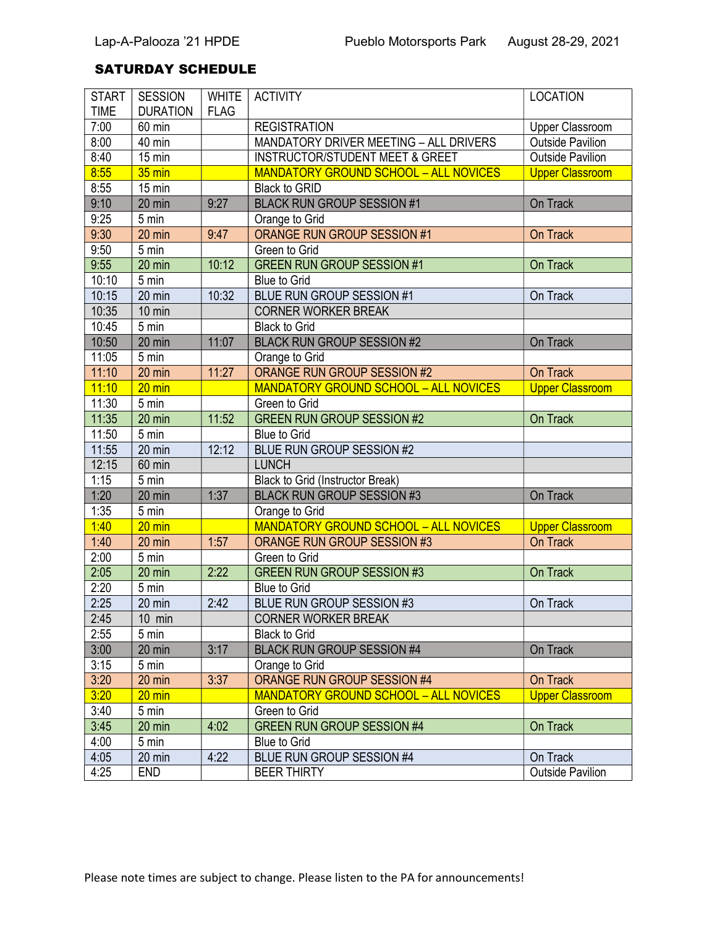## SATURDAY SCHEDULE

| <b>START</b> | <b>SESSION</b>   | <b>WHITE</b> | <b>ACTIVITY</b>                                    | <b>LOCATION</b>         |
|--------------|------------------|--------------|----------------------------------------------------|-------------------------|
| <b>TIME</b>  | <b>DURATION</b>  | <b>FLAG</b>  |                                                    |                         |
| 7:00         | 60 min           |              | <b>REGISTRATION</b>                                | <b>Upper Classroom</b>  |
| 8:00         | 40 min           |              | MANDATORY DRIVER MEETING - ALL DRIVERS             | <b>Outside Pavilion</b> |
| 8:40         | 15 min           |              | <b>INSTRUCTOR/STUDENT MEET &amp; GREET</b>         | <b>Outside Pavilion</b> |
| 8:55         | 35 min           |              | <b>MANDATORY GROUND SCHOOL - ALL NOVICES</b>       | <b>Upper Classroom</b>  |
| 8:55         | 15 min           |              | Black to GRID                                      |                         |
| 9:10         | 20 min           | 9:27         | <b>BLACK RUN GROUP SESSION #1</b>                  | On Track                |
| 9:25         | 5 min            |              | Orange to Grid                                     |                         |
| 9:30         | 20 min           | 9:47         | <b>ORANGE RUN GROUP SESSION #1</b>                 | On Track                |
| 9:50         | 5 min            |              | Green to Grid                                      |                         |
| 9:55         | 20 min           | 10:12        | <b>GREEN RUN GROUP SESSION #1</b>                  | On Track                |
| 10:10        | 5 min            |              | <b>Blue to Grid</b>                                |                         |
| 10:15        | 20 min           | 10:32        | BLUE RUN GROUP SESSION #1                          | On Track                |
| 10:35        | 10 min           |              | <b>CORNER WORKER BREAK</b>                         |                         |
| 10:45        | 5 min            |              | <b>Black to Grid</b>                               |                         |
| 10:50        | 20 min           | 11:07        | <b>BLACK RUN GROUP SESSION #2</b>                  | On Track                |
| 11:05        | 5 min            |              | Orange to Grid                                     |                         |
| 11:10        | 20 min           | 11:27        | <b>ORANGE RUN GROUP SESSION #2</b>                 | On Track                |
| 11:10        | $20 \text{ min}$ |              | <b>MANDATORY GROUND SCHOOL - ALL NOVICES</b>       | <b>Upper Classroom</b>  |
| 11:30        | 5 min            |              | Green to Grid                                      |                         |
| 11:35        | 20 min           | 11:52        | <b>GREEN RUN GROUP SESSION #2</b>                  | On Track                |
| 11:50        | $5 \text{ min}$  |              | <b>Blue to Grid</b>                                |                         |
| 11:55        | 20 min           | 12:12        | <b>BLUE RUN GROUP SESSION #2</b>                   |                         |
| 12:15        | 60 min           |              | <b>LUNCH</b>                                       |                         |
| 1:15         | 5 min            |              | <b>Black to Grid (Instructor Break)</b>            |                         |
| 1:20         | 20 min           | 1:37         | <b>BLACK RUN GROUP SESSION #3</b>                  | On Track                |
| 1:35         | 5 min            |              | Orange to Grid                                     |                         |
| 1:40         | $20 \text{ min}$ |              | <b>MANDATORY GROUND SCHOOL - ALL NOVICES</b>       | <b>Upper Classroom</b>  |
| 1:40         | 20 min           | 1:57         | <b>ORANGE RUN GROUP SESSION #3</b>                 | On Track                |
| 2:00         | 5 min            |              | Green to Grid                                      |                         |
| 2:05         | 20 min           | 2:22         | <b>GREEN RUN GROUP SESSION #3</b>                  | On Track                |
| 2:20         | 5 min            |              | <b>Blue to Grid</b>                                |                         |
| 2:25         | 20 min           | 2:42         | BLUE RUN GROUP SESSION #3                          | On Track                |
| 2:45         | $10 \text{ min}$ |              | <b>CORNER WORKER BREAK</b>                         |                         |
| 2:55         | 5 min            |              | <b>Black to Grid</b>                               |                         |
| 3:00         | 20 min           | 3:17         | <b>BLACK RUN GROUP SESSION #4</b>                  | On Track                |
| 3:15         | 5 min            |              | Orange to Grid                                     |                         |
| 3:20         | 20 min           | 3:37         | ORANGE RUN GROUP SESSION #4                        | On Track                |
|              |                  |              |                                                    |                         |
| 3:20<br>3:40 | $20 \text{ min}$ |              | <b>MANDATORY GROUND SCHOOL - ALL NOVICES</b>       | <b>Upper Classroom</b>  |
|              | 5 min            | 4:02         | Green to Grid<br><b>GREEN RUN GROUP SESSION #4</b> |                         |
| 3:45         | 20 min           |              |                                                    | On Track                |
| 4:00         | 5 min            |              | <b>Blue to Grid</b>                                |                         |
| 4:05         | 20 min           | 4:22         | BLUE RUN GROUP SESSION #4                          | On Track                |
| 4:25         | <b>END</b>       |              | <b>BEER THIRTY</b>                                 | <b>Outside Pavilion</b> |